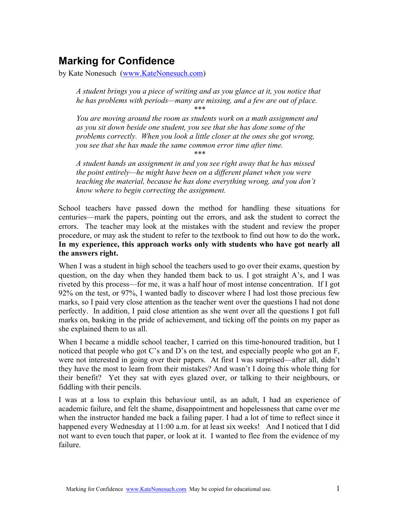# Marking for Confidence

by Kate Nonesuch (www.KateNonesuch.com)

A student brings you a piece of writing and as you glance at it, you notice that he has problems with periods—many are missing, and a few are out of place. \*\*\*

You are moving around the room as students work on a math assignment and as you sit down beside one student, you see that she has done some of the problems correctly. When you look a little closer at the ones she got wrong, you see that she has made the same common error time after time.

\*\*\*

A student hands an assignment in and you see right away that he has missed the point entirely—he might have been on a different planet when you were teaching the material, because he has done everything wrong, and you don't know where to begin correcting the assignment.

School teachers have passed down the method for handling these situations for centuries—mark the papers, pointing out the errors, and ask the student to correct the errors. The teacher may look at the mistakes with the student and review the proper procedure, or may ask the student to refer to the textbook to find out how to do the work. In my experience, this approach works only with students who have got nearly all the answers right.

When I was a student in high school the teachers used to go over their exams, question by question, on the day when they handed them back to us. I got straight  $A$ 's, and I was riveted by this process—for me, it was a half hour of most intense concentration. If I got 92% on the test, or 97%, I wanted badly to discover where I had lost those precious few marks, so I paid very close attention as the teacher went over the questions I had not done perfectly. In addition, I paid close attention as she went over all the questions I got full marks on, basking in the pride of achievement, and ticking off the points on my paper as she explained them to us all.

When I became a middle school teacher, I carried on this time-honoured tradition, but I noticed that people who got C's and D's on the test, and especially people who got an F, were not interested in going over their papers. At first I was surprised—after all, didn't they have the most to learn from their mistakes? And wasn't I doing this whole thing for their benefit? Yet they sat with eyes glazed over, or talking to their neighbours, or fiddling with their pencils.

I was at a loss to explain this behaviour until, as an adult, I had an experience of academic failure, and felt the shame, disappointment and hopelessness that came over me when the instructor handed me back a failing paper. I had a lot of time to reflect since it happened every Wednesday at 11:00 a.m. for at least six weeks! And I noticed that I did not want to even touch that paper, or look at it. I wanted to flee from the evidence of my failure.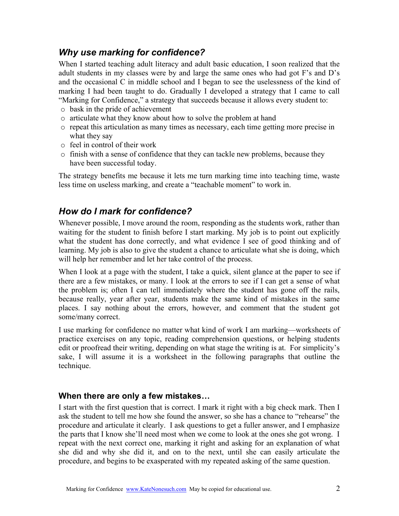### Why use marking for confidence?

When I started teaching adult literacy and adult basic education, I soon realized that the adult students in my classes were by and large the same ones who had got F's and D's and the occasional C in middle school and I began to see the uselessness of the kind of marking I had been taught to do. Gradually I developed a strategy that I came to call "Marking for Confidence," a strategy that succeeds because it allows every student to:

- o bask in the pride of achievement
- o articulate what they know about how to solve the problem at hand
- o repeat this articulation as many times as necessary, each time getting more precise in what they say
- o feel in control of their work
- o finish with a sense of confidence that they can tackle new problems, because they have been successful today.

The strategy benefits me because it lets me turn marking time into teaching time, waste less time on useless marking, and create a "teachable moment" to work in.

### How do I mark for confidence?

Whenever possible, I move around the room, responding as the students work, rather than waiting for the student to finish before I start marking. My job is to point out explicitly what the student has done correctly, and what evidence I see of good thinking and of learning. My job is also to give the student a chance to articulate what she is doing, which will help her remember and let her take control of the process.

When I look at a page with the student, I take a quick, silent glance at the paper to see if there are a few mistakes, or many. I look at the errors to see if I can get a sense of what the problem is; often I can tell immediately where the student has gone off the rails, because really, year after year, students make the same kind of mistakes in the same places. I say nothing about the errors, however, and comment that the student got some/many correct.

I use marking for confidence no matter what kind of work I am marking—worksheets of practice exercises on any topic, reading comprehension questions, or helping students edit or proofread their writing, depending on what stage the writing is at. For simplicity's sake, I will assume it is a worksheet in the following paragraphs that outline the technique.

#### When there are only a few mistakes…

I start with the first question that is correct. I mark it right with a big check mark. Then I ask the student to tell me how she found the answer, so she has a chance to "rehearse" the procedure and articulate it clearly. I ask questions to get a fuller answer, and I emphasize the parts that I know she'll need most when we come to look at the ones she got wrong. I repeat with the next correct one, marking it right and asking for an explanation of what she did and why she did it, and on to the next, until she can easily articulate the procedure, and begins to be exasperated with my repeated asking of the same question.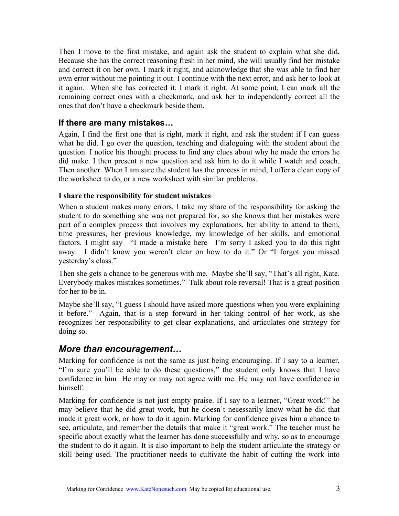Then I move to the first mistake, and again ask the student to explain what she did. Because she has the correct reasoning fresh in her mind, she will usually find her mistake and correct it on her own. I mark it right, and acknowledge that she was able to find her own error without me pointing it out. I continue with the next error, and ask her to look at it again. When she has corrected it, I mark it right. At some point, I can mark all the remaining correct ones with a checkmark, and ask her to independently correct all the ones that don't have a checkmark beside them.

### If there are many mistakes…

Again, I find the first one that is right, mark it right, and ask the student if I can guess what he did. I go over the question, teaching and dialoguing with the student about the question. I notice his thought process to find any clues about why he made the errors he did make. I then present a new question and ask him to do it while I watch and coach. Then another. When I am sure the student has the process in mind, I offer a clean copy of the worksheet to do, or a new worksheet with similar problems.

#### I share the responsibility for student mistakes

When a student makes many errors, I take my share of the responsibility for asking the student to do something she was not prepared for, so she knows that her mistakes were part of a complex process that involves my explanations, her ability to attend to them, time pressures, her previous knowledge, my knowledge of her skills, and emotional factors. I might say—"I made a mistake here—I'm sorry I asked you to do this right away. I didn't know you weren't clear on how to do it." Or "I forgot you missed yesterday's class."

Then she gets a chance to be generous with me. Maybe she'll say, "That's all right, Kate. Everybody makes mistakes sometimes." Talk about role reversal! That is a great position for her to be in.

Maybe she'll say, "I guess I should have asked more questions when you were explaining it before." Again, that is a step forward in her taking control of her work, as she recognizes her responsibility to get clear explanations, and articulates one strategy for doing so.

### More than encouragement…

Marking for confidence is not the same as just being encouraging. If I say to a learner, "I'm sure you'll be able to do these questions," the student only knows that I have confidence in him He may or may not agree with me. He may not have confidence in himself.

Marking for confidence is not just empty praise. If I say to a learner, "Great work!" he may believe that he did great work, but he doesn't necessarily know what he did that made it great work, or how to do it again. Marking for confidence gives him a chance to see, articulate, and remember the details that make it "great work." The teacher must be specific about exactly what the learner has done successfully and why, so as to encourage the student to do it again. It is also important to help the student articulate the strategy or skill being used. The practitioner needs to cultivate the habit of cutting the work into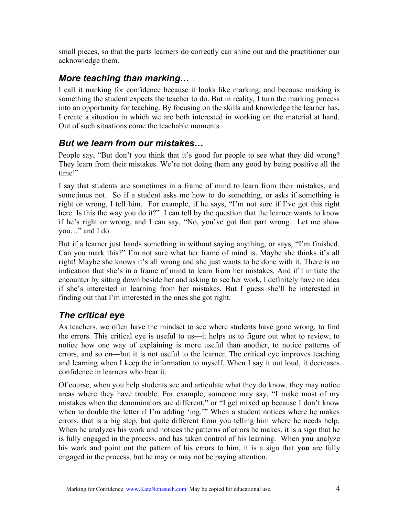small pieces, so that the parts learners do correctly can shine out and the practitioner can acknowledge them.

## More teaching than marking…

I call it marking for confidence because it looks like marking, and because marking is something the student expects the teacher to do. But in reality, I turn the marking process into an opportunity for teaching. By focusing on the skills and knowledge the learner has, I create a situation in which we are both interested in working on the material at hand. Out of such situations come the teachable moments.

### But we learn from our mistakes…

People say, "But don't you think that it's good for people to see what they did wrong? They learn from their mistakes. We're not doing them any good by being positive all the time!"

I say that students are sometimes in a frame of mind to learn from their mistakes, and sometimes not. So if a student asks me how to do something, or asks if something is right or wrong, I tell him. For example, if he says, "I'm not sure if I've got this right here. Is this the way you do it?" I can tell by the question that the learner wants to know if he's right or wrong, and I can say, "No, you've got that part wrong. Let me show you…" and I do.

But if a learner just hands something in without saying anything, or says, "I'm finished. Can you mark this?" I'm not sure what her frame of mind is. Maybe she thinks it's all right! Maybe she knows it's all wrong and she just wants to be done with it. There is no indication that she's in a frame of mind to learn from her mistakes. And if I initiate the encounter by sitting down beside her and asking to see her work, I definitely have no idea if she's interested in learning from her mistakes. But I guess she'll be interested in finding out that I'm interested in the ones she got right.

# The critical eye

As teachers, we often have the mindset to see where students have gone wrong, to find the errors. This critical eye is useful to us—it helps us to figure out what to review, to notice how one way of explaining is more useful than another, to notice patterns of errors, and so on—but it is not useful to the learner. The critical eye improves teaching and learning when I keep the information to myself. When I say it out loud, it decreases confidence in learners who hear it.

Of course, when you help students see and articulate what they do know, they may notice areas where they have trouble. For example, someone may say, "I make most of my mistakes when the denominators are different," or "I get mixed up because I don't know when to double the letter if I'm adding 'ing.'" When a student notices where he makes errors, that is a big step, but quite different from you telling him where he needs help. When he analyzes his work and notices the patterns of errors he makes, it is a sign that he is fully engaged in the process, and has taken control of his learning. When you analyze his work and point out the pattern of his errors to him, it is a sign that you are fully engaged in the process, but he may or may not be paying attention.